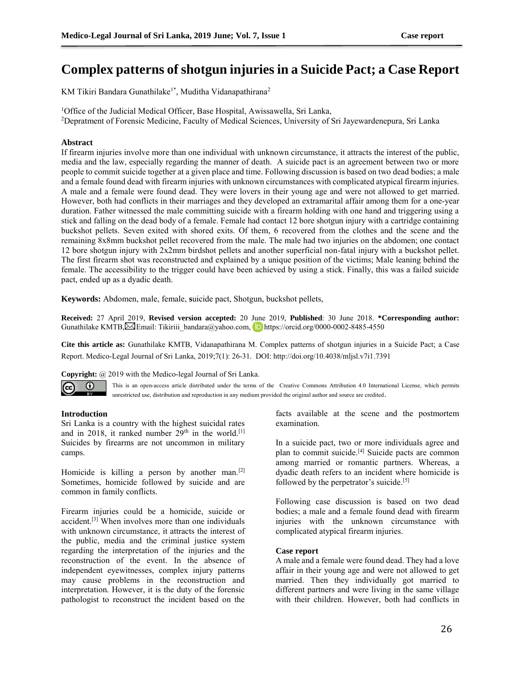# **Complex patterns of shotgun injuries in a Suicide Pact; a Case Report**

KM Tikiri Bandara Gunathilake<sup>1\*</sup>, Muditha Vidanapathirana<sup>2</sup>

<sup>1</sup>Office of the Judicial Medical Officer, Base Hospital, Awissawella, Sri Lanka,

<sup>2</sup>Depratment of Forensic Medicine, Faculty of Medical Sciences, University of Sri Jayewardenepura, Sri Lanka

## **Abstract**

If firearm injuries involve more than one individual with unknown circumstance, it attracts the interest of the public, media and the law, especially regarding the manner of death. A suicide pact is an agreement between two or more people to commit suicide together at a given place and time. Following discussion is based on two dead bodies; a male and a female found dead with firearm injuries with unknown circumstances with complicated atypical firearm injuries. A male and a female were found dead. They were lovers in their young age and were not allowed to get married. However, both had conflicts in their marriages and they developed an extramarital affair among them for a one-year duration. Father witnessed the male committing suicide with a firearm holding with one hand and triggering using a stick and falling on the dead body of a female. Female had contact 12 bore shotgun injury with a cartridge containing buckshot pellets. Seven exited with shored exits. Of them, 6 recovered from the clothes and the scene and the remaining 8x8mm buckshot pellet recovered from the male. The male had two injuries on the abdomen; one contact 12 bore shotgun injury with 2x2mm birdshot pellets and another superficial non-fatal injury with a buckshot pellet. The first firearm shot was reconstructed and explained by a unique position of the victims; Male leaning behind the female. The accessibility to the trigger could have been achieved by using a stick. Finally, this was a failed suicide pact, ended up as a dyadic death.

**Keywords:** Abdomen, male, female, **s**uicide pact, Shotgun, buckshot pellets,

**Received:** 27 April 2019, **Revised version accepted:** 20 June 2019, **Published**: 30 June 2018. **\*Corresponding author:** GunathilakeKMTB, $\boxtimes$ Email: [Tikiriii\\_bandara@yahoo.com,](mailto:Tikiriii_bandara@yahoo.com) **https://orcid.org/0000-0002-8485-4550** 

**Cite this article as:** Gunathilake KMTB, Vidanapathirana M. Complex patterns of shotgun injuries in a Suicide Pact; a Case Report. Medico-Legal Journal of Sri Lanka, 2019;7(1): 26-31. DOI: http://doi.org/10.4038/mljsl.v7i1.7391

**Copyright:** @ 2019 with the Medico-legal Journal of Sri Lanka.



This is an open-access article distributed under the terms of the [Creative Commons Attribution 4.0 International License,](http://creativecommons.org/licenses/by/4.0/) which permits unrestricted use, distribution and reproduction in any medium provided the original author and source are credited.

#### **Introduction**

Sri Lanka is a country with the highest suicidal rates and in 2018, it ranked number  $29<sup>th</sup>$  in the world.<sup>[1]</sup> Suicides by firearms are not uncommon in military camps.

Homicide is killing a person by another man.<sup>[2]</sup> Sometimes, homicide followed by suicide and are common in family conflicts.

Firearm injuries could be a homicide, suicide or accident.[3] When involves more than one individuals with unknown circumstance, it attracts the interest of the public, media and the criminal justice system regarding the interpretation of the injuries and the reconstruction of the event. In the absence of independent eyewitnesses, complex injury patterns may cause problems in the reconstruction and interpretation. However, it is the duty of the forensic pathologist to reconstruct the incident based on the

facts available at the scene and the postmortem examination.

In a suicide pact, two or more individuals agree and plan to commit suicide.[4] Suicide pacts are common among married or romantic partners. Whereas, a dyadic death refers to an incident where homicide is followed by the perpetrator's suicide.<sup>[5]</sup>

Following case discussion is based on two dead bodies; a male and a female found dead with firearm injuries with the unknown circumstance with complicated atypical firearm injuries.

#### **Case report**

A male and a female were found dead. They had a love affair in their young age and were not allowed to get married. Then they individually got married to different partners and were living in the same village with their children. However, both had conflicts in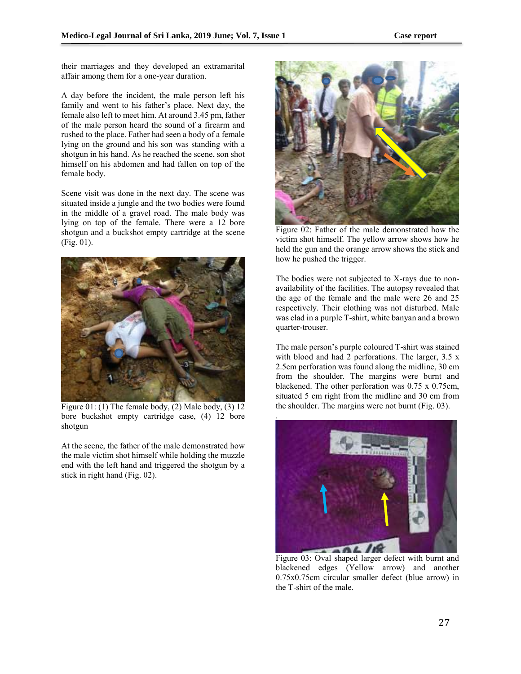their marriages and they developed an extramarital affair among them for a one-year duration.

A day before the incident, the male person left his family and went to his father's place. Next day, the female also left to meet him. At around 3.45 pm, father of the male person heard the sound of a firearm and rushed to the place. Father had seen a body of a female lying on the ground and his son was standing with a shotgun in his hand. As he reached the scene, son shot himself on his abdomen and had fallen on top of the female body.

Scene visit was done in the next day. The scene was situated inside a jungle and the two bodies were found in the middle of a gravel road. The male body was lying on top of the female. There were a 12 bore shotgun and a buckshot empty cartridge at the scene (Fig. 01).



Figure 01: (1) The female body, (2) Male body, (3)  $12$ bore buckshot empty cartridge case, (4) 12 bore shotgun

At the scene, the father of the male demonstrated how the male victim shot himself while holding the muzzle end with the left hand and triggered the shotgun by a stick in right hand (Fig. 02).



Figure 02: Father of the male demonstrated how the victim shot himself. The yellow arrow shows how he held the gun and the orange arrow shows the stick and how he pushed the trigger.

The bodies were not subjected to X-rays due to nonavailability of the facilities. The autopsy revealed that the age of the female and the male were 26 and 25 respectively. Their clothing was not disturbed. Male was clad in a purple T-shirt, white banyan and a brown quarter-trouser.

The male person's purple coloured T-shirt was stained with blood and had 2 perforations. The larger, 3.5 x 2.5cm perforation was found along the midline, 30 cm from the shoulder. The margins were burnt and blackened. The other perforation was 0.75 x 0.75cm, situated 5 cm right from the midline and 30 cm from the shoulder. The margins were not burnt (Fig. 03).



Figure 03: Oval shaped larger defect with burnt and blackened edges (Yellow arrow) and another 0.75x0.75cm circular smaller defect (blue arrow) in the T-shirt of the male.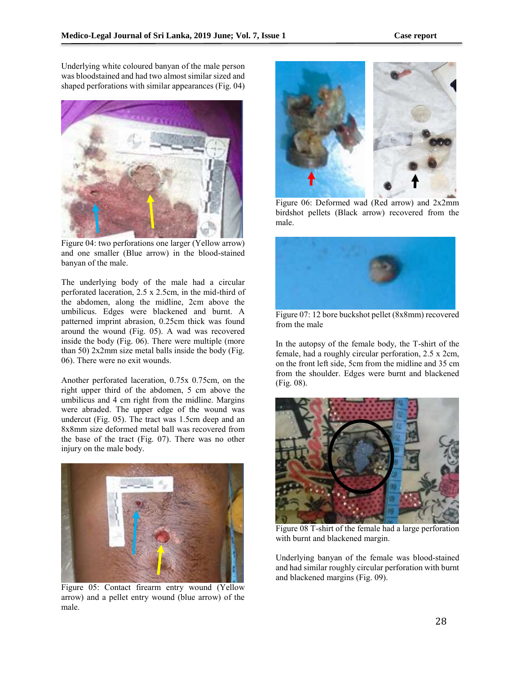Underlying white coloured banyan of the male person was bloodstained and had two almost similar sized and shaped perforations with similar appearances (Fig. 04)



Figure 04: two perforations one larger (Yellow arrow) and one smaller (Blue arrow) in the blood-stained banyan of the male.

The underlying body of the male had a circular perforated laceration, 2.5 x 2.5cm, in the mid-third of the abdomen, along the midline, 2cm above the umbilicus. Edges were blackened and burnt. A patterned imprint abrasion, 0.25cm thick was found around the wound (Fig. 05). A wad was recovered inside the body (Fig. 06). There were multiple (more than 50) 2x2mm size metal balls inside the body (Fig. 06). There were no exit wounds.

Another perforated laceration, 0.75x 0.75cm, on the right upper third of the abdomen, 5 cm above the umbilicus and 4 cm right from the midline. Margins were abraded. The upper edge of the wound was undercut (Fig. 05). The tract was 1.5cm deep and an 8x8mm size deformed metal ball was recovered from the base of the tract (Fig. 07). There was no other injury on the male body.



Figure 05: Contact firearm entry wound (Yellow arrow) and a pellet entry wound (blue arrow) of the male.



Figure 06: Deformed wad (Red arrow) and 2x2mm birdshot pellets (Black arrow) recovered from the male.



Figure 07: 12 bore buckshot pellet (8x8mm) recovered from the male

In the autopsy of the female body, the T-shirt of the female, had a roughly circular perforation, 2.5 x 2cm, on the front left side, 5cm from the midline and 35 cm from the shoulder. Edges were burnt and blackened (Fig. 08).



Figure 08 T-shirt of the female had a large perforation with burnt and blackened margin.

Underlying banyan of the female was blood-stained and had similar roughly circular perforation with burnt and blackened margins (Fig. 09).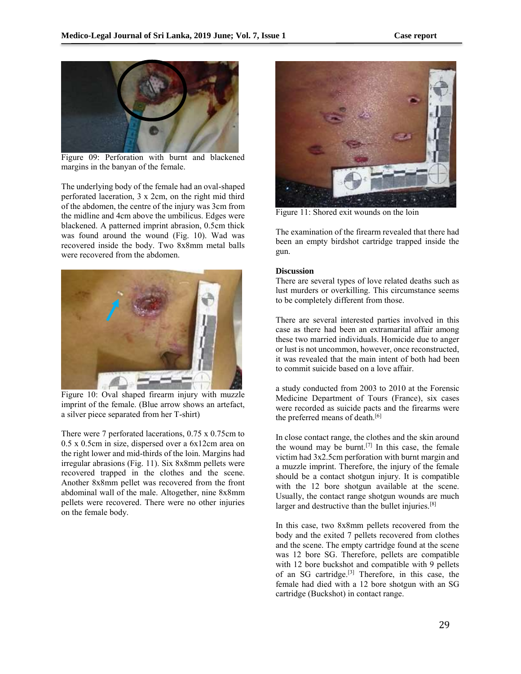

Figure 09: Perforation with burnt and blackened margins in the banyan of the female.

The underlying body of the female had an oval-shaped perforated laceration, 3 x 2cm, on the right mid third of the abdomen, the centre of the injury was 3cm from the midline and 4cm above the umbilicus. Edges were blackened. A patterned imprint abrasion, 0.5cm thick was found around the wound (Fig. 10). Wad was recovered inside the body. Two 8x8mm metal balls were recovered from the abdomen.



Figure 10: Oval shaped firearm injury with muzzle imprint of the female. (Blue arrow shows an artefact, a silver piece separated from her T-shirt)

There were 7 perforated lacerations, 0.75 x 0.75cm to 0.5 x 0.5cm in size, dispersed over a 6x12cm area on the right lower and mid-thirds of the loin. Margins had irregular abrasions (Fig. 11). Six 8x8mm pellets were recovered trapped in the clothes and the scene. Another 8x8mm pellet was recovered from the front abdominal wall of the male. Altogether, nine 8x8mm pellets were recovered. There were no other injuries on the female body.



Figure 11: Shored exit wounds on the loin

The examination of the firearm revealed that there had been an empty birdshot cartridge trapped inside the gun.

## **Discussion**

There are several types of love related deaths such as lust murders or overkilling. This circumstance seems to be completely different from those.

There are several interested parties involved in this case as there had been an extramarital affair among these two married individuals. Homicide due to anger or lust is not uncommon, however, once reconstructed, it was revealed that the main intent of both had been to commit suicide based on a love affair.

a study conducted from 2003 to 2010 at the Forensic Medicine Department of Tours (France), six cases were recorded as suicide pacts and the firearms were the preferred means of death.<sup>[6]</sup>

In close contact range, the clothes and the skin around the wound may be burnt.<sup>[7]</sup> In this case, the female victim had 3x2.5cm perforation with burnt margin and a muzzle imprint. Therefore, the injury of the female should be a contact shotgun injury. It is compatible with the 12 bore shotgun available at the scene. Usually, the contact range shotgun wounds are much larger and destructive than the bullet injuries.<sup>[8]</sup>

In this case, two 8x8mm pellets recovered from the body and the exited 7 pellets recovered from clothes and the scene. The empty cartridge found at the scene was 12 bore SG. Therefore, pellets are compatible with 12 bore buckshot and compatible with 9 pellets of an SG cartridge.[3] Therefore, in this case, the female had died with a 12 bore shotgun with an SG cartridge (Buckshot) in contact range.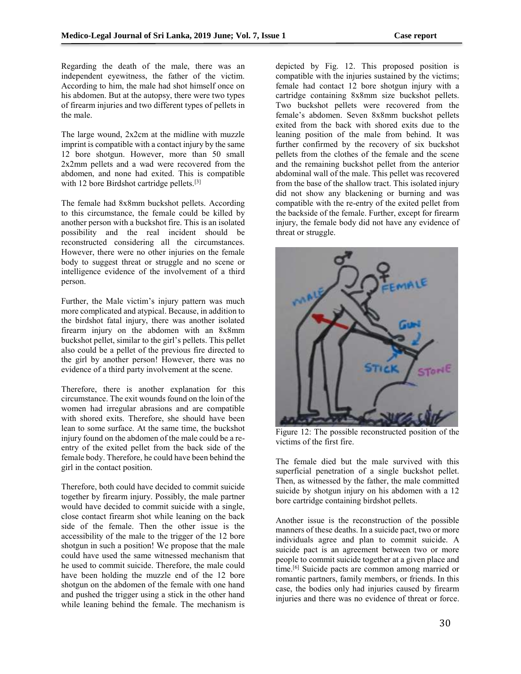Regarding the death of the male, there was an independent eyewitness, the father of the victim. According to him, the male had shot himself once on his abdomen. But at the autopsy, there were two types of firearm injuries and two different types of pellets in the male.

The large wound, 2x2cm at the midline with muzzle imprint is compatible with a contact injury by the same 12 bore shotgun. However, more than 50 small 2x2mm pellets and a wad were recovered from the abdomen, and none had exited. This is compatible with 12 bore Birdshot cartridge pellets.<sup>[3]</sup>

The female had 8x8mm buckshot pellets. According to this circumstance, the female could be killed by another person with a buckshot fire. This is an isolated possibility and the real incident should be reconstructed considering all the circumstances. However, there were no other injuries on the female body to suggest threat or struggle and no scene or intelligence evidence of the involvement of a third person.

Further, the Male victim's injury pattern was much more complicated and atypical. Because, in addition to the birdshot fatal injury, there was another isolated firearm injury on the abdomen with an 8x8mm buckshot pellet, similar to the girl's pellets. This pellet also could be a pellet of the previous fire directed to the girl by another person! However, there was no evidence of a third party involvement at the scene.

Therefore, there is another explanation for this circumstance. The exit wounds found on the loin of the women had irregular abrasions and are compatible with shored exits. Therefore, she should have been lean to some surface. At the same time, the buckshot injury found on the abdomen of the male could be a reentry of the exited pellet from the back side of the female body. Therefore, he could have been behind the girl in the contact position.

Therefore, both could have decided to commit suicide together by firearm injury. Possibly, the male partner would have decided to commit suicide with a single, close contact firearm shot while leaning on the back side of the female. Then the other issue is the accessibility of the male to the trigger of the 12 bore shotgun in such a position! We propose that the male could have used the same witnessed mechanism that he used to commit suicide. Therefore, the male could have been holding the muzzle end of the 12 bore shotgun on the abdomen of the female with one hand and pushed the trigger using a stick in the other hand while leaning behind the female. The mechanism is

depicted by Fig. 12. This proposed position is compatible with the injuries sustained by the victims; female had contact 12 bore shotgun injury with a cartridge containing 8x8mm size buckshot pellets. Two buckshot pellets were recovered from the female's abdomen. Seven 8x8mm buckshot pellets exited from the back with shored exits due to the leaning position of the male from behind. It was further confirmed by the recovery of six buckshot pellets from the clothes of the female and the scene and the remaining buckshot pellet from the anterior abdominal wall of the male. This pellet was recovered from the base of the shallow tract. This isolated injury did not show any blackening or burning and was compatible with the re-entry of the exited pellet from the backside of the female. Further, except for firearm injury, the female body did not have any evidence of threat or struggle.



Figure 12: The possible reconstructed position of the victims of the first fire.

The female died but the male survived with this superficial penetration of a single buckshot pellet. Then, as witnessed by the father, the male committed suicide by shotgun injury on his abdomen with a 12 bore cartridge containing birdshot pellets.

Another issue is the reconstruction of the possible manners of these deaths. In a suicide pact, two or more individuals agree and plan to commit suicide. A suicide pact is an agreement between two or more people to commit suicide together at a given place and time.[6] Suicide pacts are common among married or romantic partners, family members, or friends. In this case, the bodies only had injuries caused by firearm injuries and there was no evidence of threat or force.